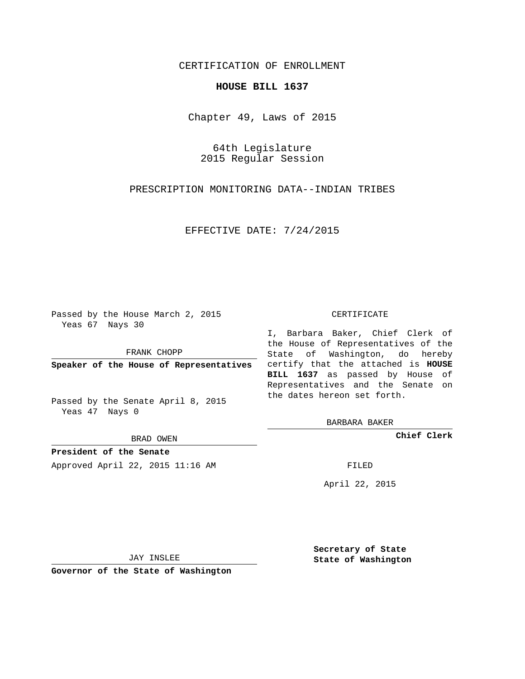# CERTIFICATION OF ENROLLMENT

### **HOUSE BILL 1637**

Chapter 49, Laws of 2015

64th Legislature 2015 Regular Session

PRESCRIPTION MONITORING DATA--INDIAN TRIBES

EFFECTIVE DATE: 7/24/2015

Passed by the House March 2, 2015 Yeas 67 Nays 30

FRANK CHOPP

Passed by the Senate April 8, 2015 Yeas 47 Nays 0

BRAD OWEN

**President of the Senate**

Approved April 22, 2015 11:16 AM FILED

#### CERTIFICATE

**Speaker of the House of Representatives** certify that the attached is **HOUSE** I, Barbara Baker, Chief Clerk of the House of Representatives of the State of Washington, do hereby **BILL 1637** as passed by House of Representatives and the Senate on the dates hereon set forth.

BARBARA BAKER

**Chief Clerk**

April 22, 2015

JAY INSLEE

**Governor of the State of Washington**

**Secretary of State State of Washington**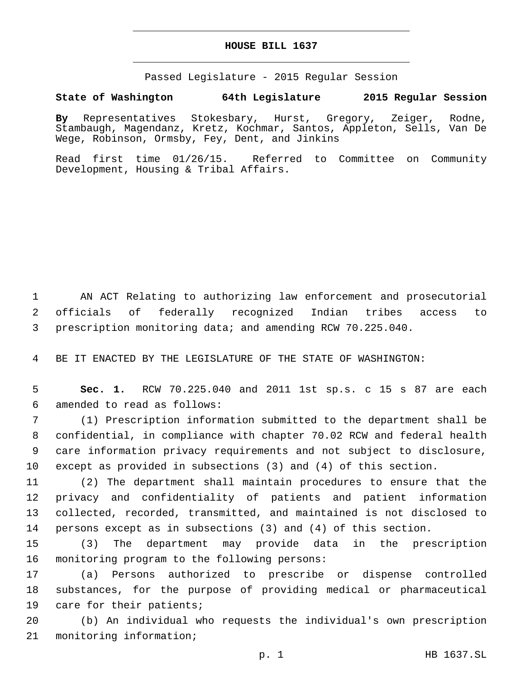### **HOUSE BILL 1637**

Passed Legislature - 2015 Regular Session

# **State of Washington 64th Legislature 2015 Regular Session**

**By** Representatives Stokesbary, Hurst, Gregory, Zeiger, Rodne, Stambaugh, Magendanz, Kretz, Kochmar, Santos, Appleton, Sells, Van De Wege, Robinson, Ormsby, Fey, Dent, and Jinkins

Read first time 01/26/15. Referred to Committee on Community Development, Housing & Tribal Affairs.

1 AN ACT Relating to authorizing law enforcement and prosecutorial 2 officials of federally recognized Indian tribes access to 3 prescription monitoring data; and amending RCW 70.225.040.

4 BE IT ENACTED BY THE LEGISLATURE OF THE STATE OF WASHINGTON:

5 **Sec. 1.** RCW 70.225.040 and 2011 1st sp.s. c 15 s 87 are each amended to read as follows:6

 (1) Prescription information submitted to the department shall be confidential, in compliance with chapter 70.02 RCW and federal health care information privacy requirements and not subject to disclosure, except as provided in subsections (3) and (4) of this section.

 (2) The department shall maintain procedures to ensure that the privacy and confidentiality of patients and patient information collected, recorded, transmitted, and maintained is not disclosed to persons except as in subsections (3) and (4) of this section.

15 (3) The department may provide data in the prescription 16 monitoring program to the following persons:

17 (a) Persons authorized to prescribe or dispense controlled 18 substances, for the purpose of providing medical or pharmaceutical 19 care for their patients;

20 (b) An individual who requests the individual's own prescription 21 monitoring information;